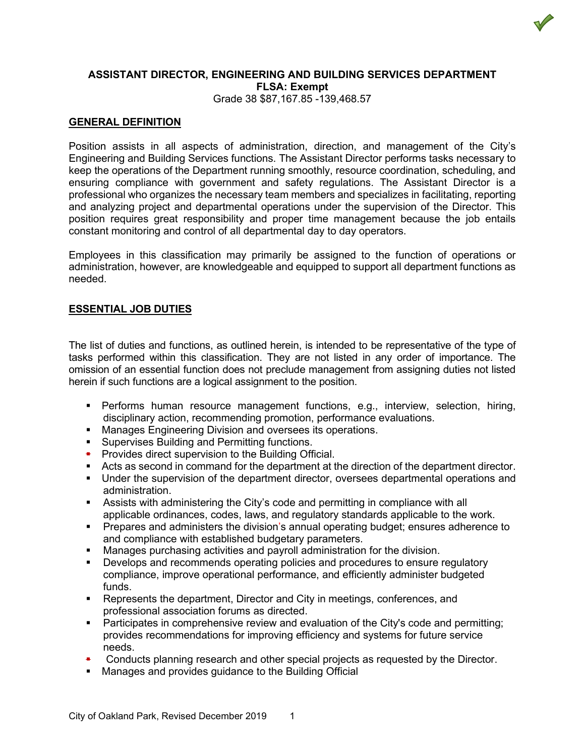

#### **ASSISTANT DIRECTOR, ENGINEERING AND BUILDING SERVICES DEPARTMENT FLSA: Exempt** Grade 38 \$87,167.85 -139,468.57

## **GENERAL DEFINITION**

Position assists in all aspects of administration, direction, and management of the City's Engineering and Building Services functions. The Assistant Director performs tasks necessary to keep the operations of the Department running smoothly, resource coordination, scheduling, and ensuring compliance with government and safety regulations. The Assistant Director is a professional who organizes the necessary team members and specializes in facilitating, reporting and analyzing project and departmental operations under the supervision of the Director. This position requires great responsibility and proper time management because the job entails constant monitoring and control of all departmental day to day operators.

Employees in this classification may primarily be assigned to the function of operations or administration, however, are knowledgeable and equipped to support all department functions as needed.

## **ESSENTIAL JOB DUTIES**

The list of duties and functions, as outlined herein, is intended to be representative of the type of tasks performed within this classification. They are not listed in any order of importance. The omission of an essential function does not preclude management from assigning duties not listed herein if such functions are a logical assignment to the position.

- Performs human resource management functions, e.g., interview, selection, hiring, disciplinary action, recommending promotion, performance evaluations.
- **Manages Engineering Division and oversees its operations.**
- **Supervises Building and Permitting functions.**
- **•** Provides direct supervision to the Building Official.
- Acts as second in command for the department at the direction of the department director.
- Under the supervision of the department director, oversees departmental operations and administration.
- Assists with administering the City's code and permitting in compliance with all applicable ordinances, codes, laws, and regulatory standards applicable to the work.
- Prepares and administers the division's annual operating budget; ensures adherence to and compliance with established budgetary parameters.
- **Manages purchasing activities and payroll administration for the division.**
- **Develops and recommends operating policies and procedures to ensure regulatory** compliance, improve operational performance, and efficiently administer budgeted funds.
- Represents the department, Director and City in meetings, conferences, and professional association forums as directed.
- Participates in comprehensive review and evaluation of the City's code and permitting; provides recommendations for improving efficiency and systems for future service needs.
- Conducts planning research and other special projects as requested by the Director.
- Manages and provides guidance to the Building Official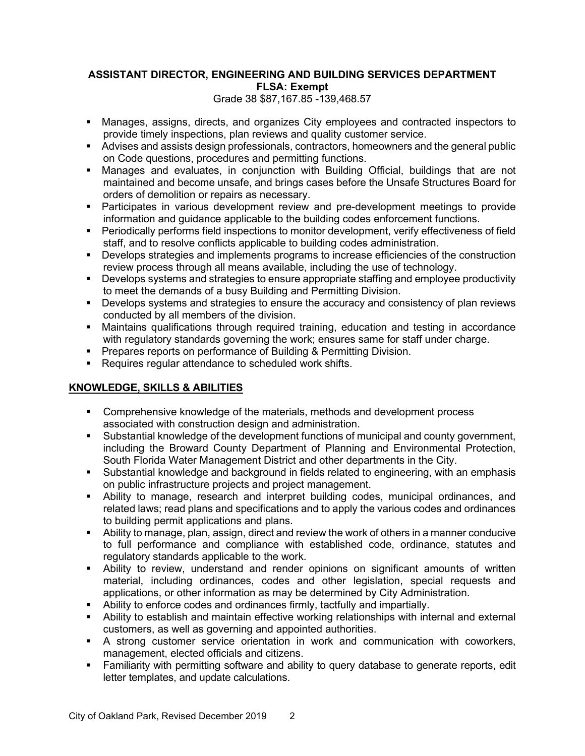# **ASSISTANT DIRECTOR, ENGINEERING AND BUILDING SERVICES DEPARTMENT FLSA: Exempt**

Grade 38 \$87,167.85 -139,468.57

- Manages, assigns, directs, and organizes City employees and contracted inspectors to provide timely inspections, plan reviews and quality customer service.
- Advises and assists design professionals, contractors, homeowners and the general public on Code questions, procedures and permitting functions.
- Manages and evaluates, in conjunction with Building Official, buildings that are not maintained and become unsafe, and brings cases before the Unsafe Structures Board for orders of demolition or repairs as necessary.
- **Participates in various development review and pre-development meetings to provide** information and guidance applicable to the building codes enforcement functions.
- **Periodically performs field inspections to monitor development, verify effectiveness of field** staff, and to resolve conflicts applicable to building codes administration.
- Develops strategies and implements programs to increase efficiencies of the construction review process through all means available, including the use of technology.
- Develops systems and strategies to ensure appropriate staffing and employee productivity to meet the demands of a busy Building and Permitting Division.
- **Develops systems and strategies to ensure the accuracy and consistency of plan reviews** conducted by all members of the division.
- Maintains qualifications through required training, education and testing in accordance with regulatory standards governing the work; ensures same for staff under charge.
- **Prepares reports on performance of Building & Permitting Division.**
- Requires requiar attendance to scheduled work shifts.

# **KNOWLEDGE, SKILLS & ABILITIES**

- Comprehensive knowledge of the materials, methods and development process associated with construction design and administration.
- Substantial knowledge of the development functions of municipal and county government, including the Broward County Department of Planning and Environmental Protection, South Florida Water Management District and other departments in the City.
- Substantial knowledge and background in fields related to engineering, with an emphasis on public infrastructure projects and project management.
- Ability to manage, research and interpret building codes, municipal ordinances, and related laws; read plans and specifications and to apply the various codes and ordinances to building permit applications and plans.
- Ability to manage, plan, assign, direct and review the work of others in a manner conducive to full performance and compliance with established code, ordinance, statutes and regulatory standards applicable to the work.
- Ability to review, understand and render opinions on significant amounts of written material, including ordinances, codes and other legislation, special requests and applications, or other information as may be determined by City Administration.
- Ability to enforce codes and ordinances firmly, tactfully and impartially.
- Ability to establish and maintain effective working relationships with internal and external customers, as well as governing and appointed authorities.
- A strong customer service orientation in work and communication with coworkers, management, elected officials and citizens.
- Familiarity with permitting software and ability to query database to generate reports, edit letter templates, and update calculations.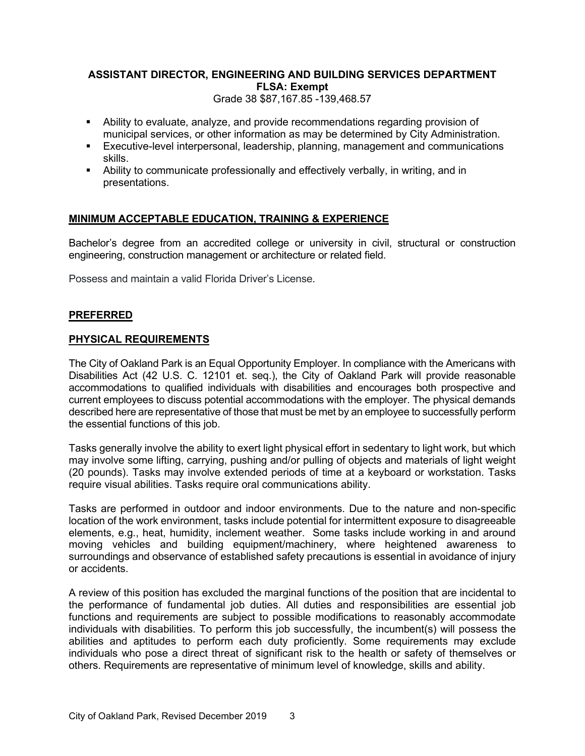# **ASSISTANT DIRECTOR, ENGINEERING AND BUILDING SERVICES DEPARTMENT FLSA: Exempt**

Grade 38 \$87,167.85 -139,468.57

- Ability to evaluate, analyze, and provide recommendations regarding provision of municipal services, or other information as may be determined by City Administration.
- Executive-level interpersonal, leadership, planning, management and communications skills.
- Ability to communicate professionally and effectively verbally, in writing, and in presentations.

# **MINIMUM ACCEPTABLE EDUCATION, TRAINING & EXPERIENCE**

Bachelor's degree from an accredited college or university in civil, structural or construction engineering, construction management or architecture or related field.

Possess and maintain a valid Florida Driver's License.

## **PREFERRED**

## **PHYSICAL REQUIREMENTS**

The City of Oakland Park is an Equal Opportunity Employer. In compliance with the Americans with Disabilities Act (42 U.S. C. 12101 et. seq.), the City of Oakland Park will provide reasonable accommodations to qualified individuals with disabilities and encourages both prospective and current employees to discuss potential accommodations with the employer. The physical demands described here are representative of those that must be met by an employee to successfully perform the essential functions of this job.

Tasks generally involve the ability to exert light physical effort in sedentary to light work, but which may involve some lifting, carrying, pushing and/or pulling of objects and materials of light weight (20 pounds). Tasks may involve extended periods of time at a keyboard or workstation. Tasks require visual abilities. Tasks require oral communications ability.

Tasks are performed in outdoor and indoor environments. Due to the nature and non-specific location of the work environment, tasks include potential for intermittent exposure to disagreeable elements, e.g., heat, humidity, inclement weather. Some tasks include working in and around moving vehicles and building equipment/machinery, where heightened awareness to surroundings and observance of established safety precautions is essential in avoidance of injury or accidents.

A review of this position has excluded the marginal functions of the position that are incidental to the performance of fundamental job duties. All duties and responsibilities are essential job functions and requirements are subject to possible modifications to reasonably accommodate individuals with disabilities. To perform this job successfully, the incumbent(s) will possess the abilities and aptitudes to perform each duty proficiently. Some requirements may exclude individuals who pose a direct threat of significant risk to the health or safety of themselves or others. Requirements are representative of minimum level of knowledge, skills and ability.